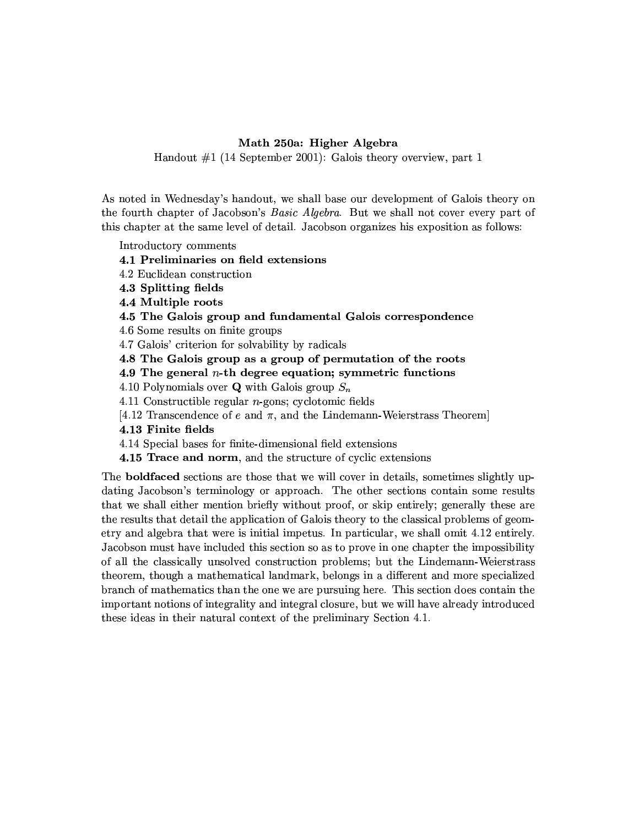## Math 250a: Higher Algebra

Handout  $\#1$  (14 September 2001): Galois theory overview, part 1

As noted in Wednesday's handout, we shall base our development of Galois theory on the fourth chapter of Jacobson's *Basic Algebra*. But we shall not cover every part of this chapter at the same level of detail. Jacobson organizes his exposition as follows:

Introductory comments

4.1 Preliminaries on field extensions

- 4.2 Euclidean construction
- 4.3 Splitting fields
- 4.4 Multiple roots
- 4.5 The Galois group and fundamental Galois correspondence

4.6 Some results on finite groups

4.7 Galois' criterion for solvability by radicals

4.8 The Galois group as a group of permutation of the roots

4.9 The general  $n$ -th degree equation; symmetric functions

4.10 Polynomials over **Q** with Galois group  $S_n$ 

4.11 Constructible regular  $n$ -gons; cyclotomic fields

[4.12 Transcendence of e and  $\pi$ , and the Lindemann-Weierstrass Theorem]

4.13 Finite fields

4.14 Special bases for finite-dimensional field extensions

4.15 Trace and norm, and the structure of cyclic extensions

The **boldfaced** sections are those that we will cover in details, sometimes slightly updating Jacobson's terminology or approach. The other sections contain some results that we shall either mention briefly without proof, or skip entirely; generally these are the results that detail the application of Galois theory to the classical problems of geometry and algebra that were is initial impetus. In particular, we shall omit 4.12 entirely. Jacobson must have included this section so as to prove in one chapter the impossibility of all the classically unsolved construction problems; but the Lindemann-Weierstrass theorem, though a mathematical landmark, belongs in a different and more specialized branch of mathematics than the one we are pursuing here. This section does contain the important notions of integrality and integral closure, but we will have already introduced these ideas in their natural context of the preliminary Section 4.1.